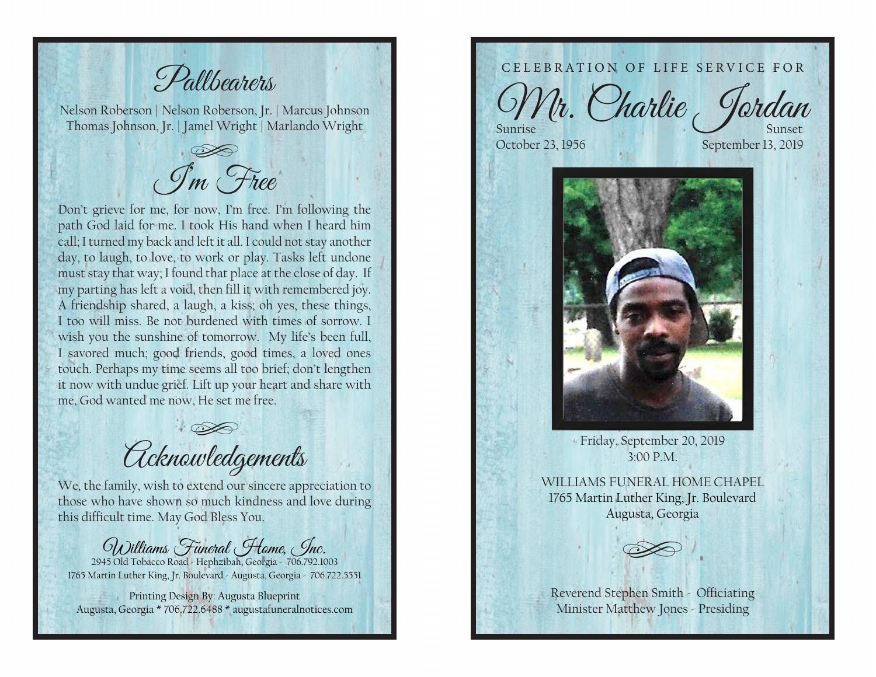

Nelson Roberson | Nelson Roberson, Jr. | Marcus Johnson Thomas Johnson, Jr. | Jamel Wright | Marlando Wright

I'm Free amel Wrig $\overset{\sim}{\text{S}}$ 

Don't grieve for me, for now, I'm free. I'm following the path God laid for me. I took His hand when I heard him call; I turned my back and left it all. I could not stay another day, to laugh, to love, to work or play. Tasks left undone must stay that way; I found that place at the close of day. If my parting has left a void, then fill it with remembered joy. A friendship shared, a laugh, a kiss; oh yes, these things, I too will miss. Be not burdened with times of sorrow. I wish you the sunshine of tomorrow. My life's been full, I savored much; good friends, good times, a loved ones touch. Perhaps my time seems all too brief; don't lengthen it now with undue grief. Lift up your heart and share with me, God wanted me now, He set me free.

Acknowledgements  $\overbrace{I}$ 

We, the family, wish to extend our sincere appreciation to those who have shown so much kindness and love during this difficult time. May God Bless You.

Williams Funeral Home, Inc.

2945 Old Tobacco Road - Hephzibah, Georgia - 706.792.1003 1765 Martin Luther King, Jr. Boulevard - Augusta, Georgia - 706.722.5551

Printing Design By: Augusta Blueprint Augusta, Georgia \* 706.722.6488 \* augustafuneralnotices.com

## CELEBRATION OF LIFE SERVICE FOR

Mr. Charlie Jordan Sunrise Sunset

October 23, 1956 September 13, 2019



Friday, September 20, 2019  $3:00 \text{ P M}$ 

WILLIAMS FUNERAL HOME CHAPEL 1765 Martin Luther King, Jr. Boulevard Augusta, Georgia



Reverend Stephen Smith - Officiating Minister Matthew Jones - Presiding